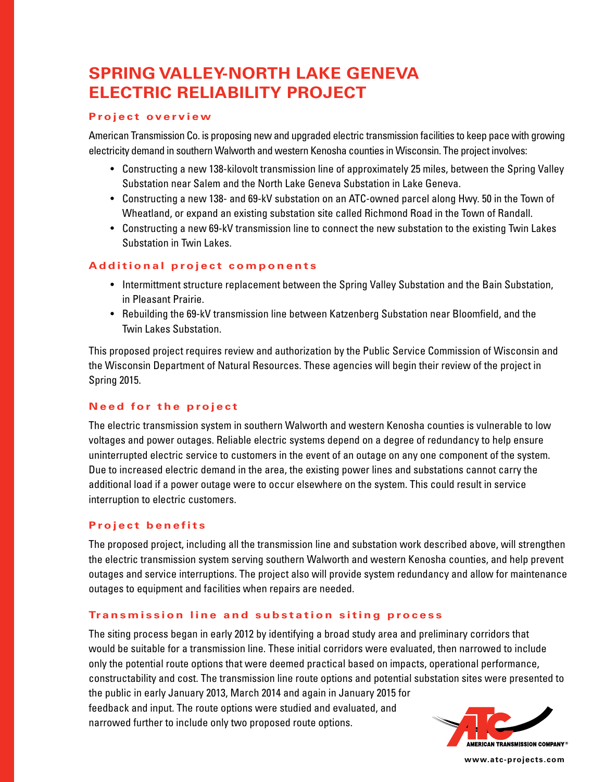# **SPRING VALLEY-NORTH LAKE GENEVA ELECTRIC RELIABILITY PROJECT**

#### **Project overview**

American Transmission Co. is proposing new and upgraded electric transmission facilities to keep pace with growing electricity demand in southern Walworth and western Kenosha counties in Wisconsin. The project involves:

- Constructing a new 138-kilovolt transmission line of approximately 25 miles, between the Spring Valley Substation near Salem and the North Lake Geneva Substation in Lake Geneva.
- Constructing a new 138- and 69-kV substation on an ATC-owned parcel along Hwy. 50 in the Town of Wheatland, or expand an existing substation site called Richmond Road in the Town of Randall.
- Constructing a new 69-kV transmission line to connect the new substation to the existing Twin Lakes Substation in Twin Lakes.

#### **Additional project components**

- Intermittment structure replacement between the Spring Valley Substation and the Bain Substation, in Pleasant Prairie.
- Rebuilding the 69-kV transmission line between Katzenberg Substation near Bloomfield, and the Twin Lakes Substation.

This proposed project requires review and authorization by the Public Service Commission of Wisconsin and the Wisconsin Department of Natural Resources. These agencies will begin their review of the project in Spring 2015.

## **Need for the project**

The electric transmission system in southern Walworth and western Kenosha counties is vulnerable to low voltages and power outages. Reliable electric systems depend on a degree of redundancy to help ensure uninterrupted electric service to customers in the event of an outage on any one component of the system. Due to increased electric demand in the area, the existing power lines and substations cannot carry the additional load if a power outage were to occur elsewhere on the system. This could result in service interruption to electric customers.

## **Project benefits**

The proposed project, including all the transmission line and substation work described above, will strengthen the electric transmission system serving southern Walworth and western Kenosha counties, and help prevent outages and service interruptions. The project also will provide system redundancy and allow for maintenance outages to equipment and facilities when repairs are needed.

#### **Transmission line and substation siting process**

The siting process began in early 2012 by identifying a broad study area and preliminary corridors that would be suitable for a transmission line. These initial corridors were evaluated, then narrowed to include only the potential route options that were deemed practical based on impacts, operational performance, constructability and cost. The transmission line route options and potential substation sites were presented to the public in early January 2013, March 2014 and again in January 2015 for

feedback and input. The route options were studied and evaluated, and narrowed further to include only two proposed route options.



**www.atc-projects.com**